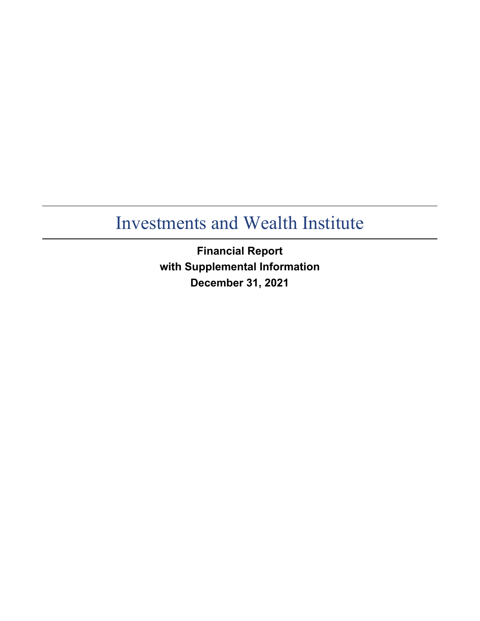**Financial Report with Supplemental Information December 31, 2021**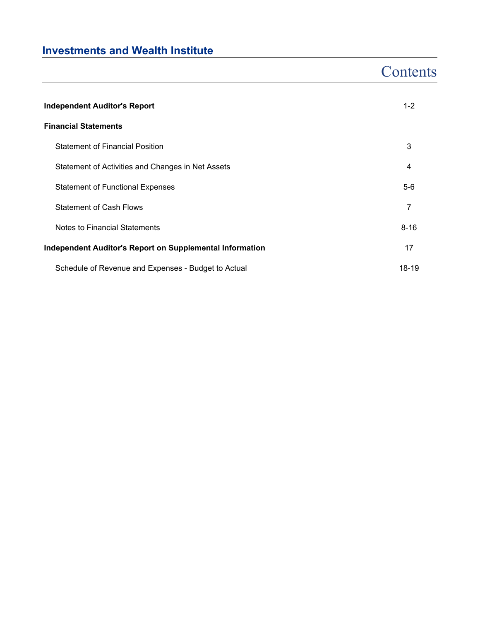## **Contents**

| <b>Independent Auditor's Report</b>                      | $1 - 2$  |  |  |  |
|----------------------------------------------------------|----------|--|--|--|
| <b>Financial Statements</b>                              |          |  |  |  |
| <b>Statement of Financial Position</b>                   | 3        |  |  |  |
| Statement of Activities and Changes in Net Assets        | 4        |  |  |  |
| <b>Statement of Functional Expenses</b>                  | $5-6$    |  |  |  |
| <b>Statement of Cash Flows</b>                           | 7        |  |  |  |
| Notes to Financial Statements                            | $8 - 16$ |  |  |  |
| Independent Auditor's Report on Supplemental Information |          |  |  |  |
| Schedule of Revenue and Expenses - Budget to Actual      | 18-19    |  |  |  |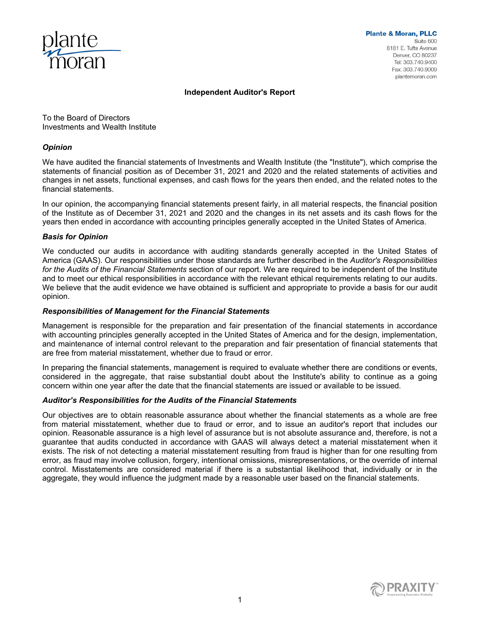

#### **Independent Auditor's Report**

To the Board of Directors Investments and Wealth Institute

#### *Opinion*

We have audited the financial statements of Investments and Wealth Institute (the "Institute"), which comprise the statements of financial position as of December 31, 2021 and 2020 and the related statements of activities and changes in net assets, functional expenses, and cash flows for the years then ended, and the related notes to the financial statements.

In our opinion, the accompanying financial statements present fairly, in all material respects, the financial position of the Institute as of December 31, 2021 and 2020 and the changes in its net assets and its cash flows for the years then ended in accordance with accounting principles generally accepted in the United States of America.

#### *Basis for Opinion*

We conducted our audits in accordance with auditing standards generally accepted in the United States of America (GAAS). Our responsibilities under those standards are further described in the *Auditor's Responsibilities for the Audits of the Financial Statements* section of our report. We are required to be independent of the Institute and to meet our ethical responsibilities in accordance with the relevant ethical requirements relating to our audits. We believe that the audit evidence we have obtained is sufficient and appropriate to provide a basis for our audit opinion.

#### *Responsibilities of Management for the Financial Statements*

Management is responsible for the preparation and fair presentation of the financial statements in accordance with accounting principles generally accepted in the United States of America and for the design, implementation, and maintenance of internal control relevant to the preparation and fair presentation of financial statements that are free from material misstatement, whether due to fraud or error.

In preparing the financial statements, management is required to evaluate whether there are conditions or events, considered in the aggregate, that raise substantial doubt about the Institute's ability to continue as a going concern within one year after the date that the financial statements are issued or available to be issued.

#### *Auditor's Responsibilities for the Audits of the Financial Statements*

Our objectives are to obtain reasonable assurance about whether the financial statements as a whole are free from material misstatement, whether due to fraud or error, and to issue an auditor's report that includes our opinion. Reasonable assurance is a high level of assurance but is not absolute assurance and, therefore, is not a guarantee that audits conducted in accordance with GAAS will always detect a material misstatement when it exists. The risk of not detecting a material misstatement resulting from fraud is higher than for one resulting from error, as fraud may involve collusion, forgery, intentional omissions, misrepresentations, or the override of internal control. Misstatements are considered material if there is a substantial likelihood that, individually or in the aggregate, they would influence the judgment made by a reasonable user based on the financial statements.

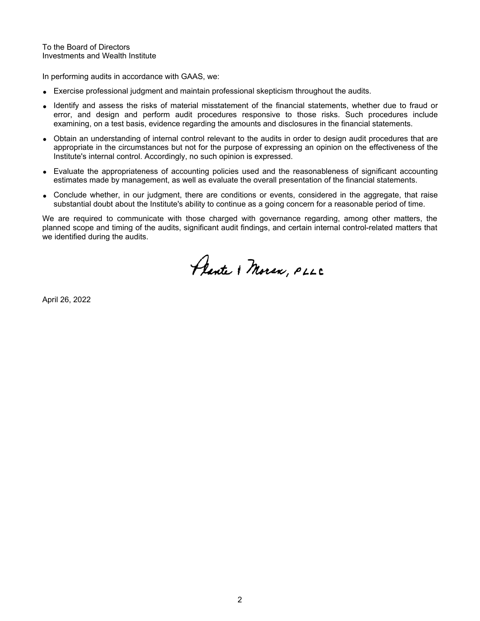To the Board of Directors Investments and Wealth Institute

In performing audits in accordance with GAAS, we:

- Exercise professional judgment and maintain professional skepticism throughout the audits.
- Identify and assess the risks of material misstatement of the financial statements, whether due to fraud or error, and design and perform audit procedures responsive to those risks. Such procedures include examining, on a test basis, evidence regarding the amounts and disclosures in the financial statements.
- Obtain an understanding of internal control relevant to the audits in order to design audit procedures that are appropriate in the circumstances but not for the purpose of expressing an opinion on the effectiveness of the Institute's internal control. Accordingly, no such opinion is expressed.
- Evaluate the appropriateness of accounting policies used and the reasonableness of significant accounting estimates made by management, as well as evaluate the overall presentation of the financial statements.
- Conclude whether, in our judgment, there are conditions or events, considered in the aggregate, that raise substantial doubt about the Institute's ability to continue as a going concern for a reasonable period of time.

We are required to communicate with those charged with governance regarding, among other matters, the planned scope and timing of the audits, significant audit findings, and certain internal control-related matters that we identified during the audits.

Plante & Moran, PLLC

April 26, 2022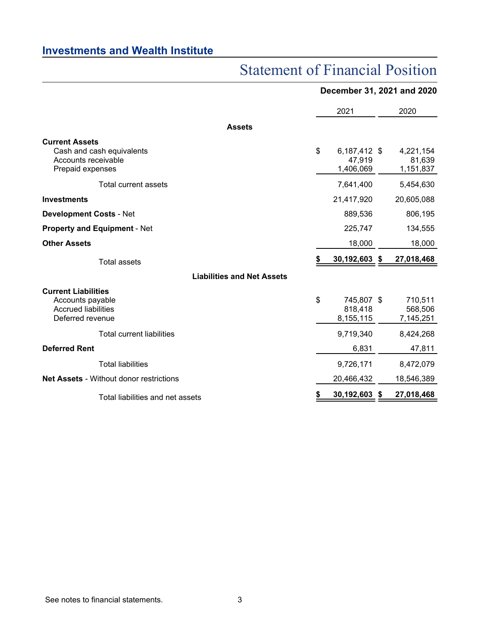# Statement of Financial Position

### **December 31, 2021 and 2020**

|                                                                                                  | 2021                                      | 2020                             |
|--------------------------------------------------------------------------------------------------|-------------------------------------------|----------------------------------|
| <b>Assets</b>                                                                                    |                                           |                                  |
| <b>Current Assets</b><br>Cash and cash equivalents<br>Accounts receivable<br>Prepaid expenses    | \$<br>6,187,412 \$<br>47,919<br>1,406,069 | 4,221,154<br>81,639<br>1,151,837 |
| Total current assets                                                                             | 7,641,400                                 | 5,454,630                        |
| <b>Investments</b>                                                                               | 21,417,920                                | 20,605,088                       |
| <b>Development Costs - Net</b>                                                                   | 889,536                                   | 806,195                          |
| <b>Property and Equipment - Net</b>                                                              | 225,747                                   | 134,555                          |
| <b>Other Assets</b>                                                                              | 18,000                                    | 18,000                           |
| <b>Total assets</b>                                                                              | 30,192,603 \$                             | 27,018,468                       |
| <b>Liabilities and Net Assets</b>                                                                |                                           |                                  |
| <b>Current Liabilities</b><br>Accounts payable<br><b>Accrued liabilities</b><br>Deferred revenue | \$<br>745,807 \$<br>818,418<br>8,155,115  | 710,511<br>568,506<br>7,145,251  |
| <b>Total current liabilities</b>                                                                 | 9,719,340                                 | 8,424,268                        |
| <b>Deferred Rent</b>                                                                             | 6,831                                     | 47,811                           |
| <b>Total liabilities</b>                                                                         | 9,726,171                                 | 8,472,079                        |
| <b>Net Assets - Without donor restrictions</b>                                                   | 20,466,432                                | 18,546,389                       |
| Total liabilities and net assets                                                                 | 30,192,603 \$                             | 27,018,468                       |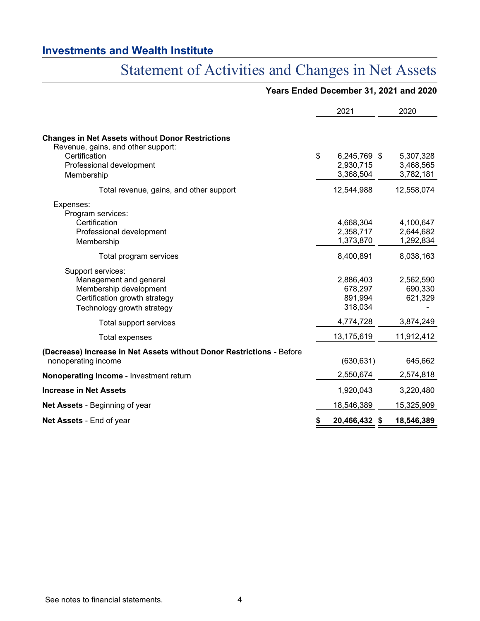# Statement of Activities and Changes in Net Assets

|                                                                                                                                            | 2021                                       | 2020                                |
|--------------------------------------------------------------------------------------------------------------------------------------------|--------------------------------------------|-------------------------------------|
| <b>Changes in Net Assets without Donor Restrictions</b><br>Revenue, gains, and other support:<br>Certification<br>Professional development | \$<br>6,245,769 \$<br>2,930,715            | 5,307,328<br>3,468,565              |
| Membership                                                                                                                                 | 3,368,504                                  | 3,782,181                           |
| Total revenue, gains, and other support                                                                                                    | 12,544,988                                 | 12,558,074                          |
| Expenses:<br>Program services:<br>Certification<br>Professional development<br>Membership                                                  | 4,668,304<br>2,358,717<br>1,373,870        | 4,100,647<br>2,644,682<br>1,292,834 |
| Total program services                                                                                                                     | 8,400,891                                  | 8,038,163                           |
| Support services:<br>Management and general<br>Membership development<br>Certification growth strategy<br>Technology growth strategy       | 2,886,403<br>678,297<br>891,994<br>318,034 | 2,562,590<br>690,330<br>621,329     |
| Total support services                                                                                                                     | 4,774,728                                  | 3,874,249                           |
| Total expenses                                                                                                                             | 13,175,619                                 | 11,912,412                          |
| (Decrease) Increase in Net Assets without Donor Restrictions - Before<br>nonoperating income                                               | (630, 631)                                 | 645,662                             |
| Nonoperating Income - Investment return                                                                                                    | 2,550,674                                  | 2,574,818                           |
| <b>Increase in Net Assets</b>                                                                                                              | 1,920,043                                  | 3,220,480                           |
| Net Assets - Beginning of year                                                                                                             | 18,546,389                                 | 15,325,909                          |
| Net Assets - End of year                                                                                                                   | \$<br>20,466,432                           | \$<br>18,546,389                    |

### **Years Ended December 31, 2021 and 2020**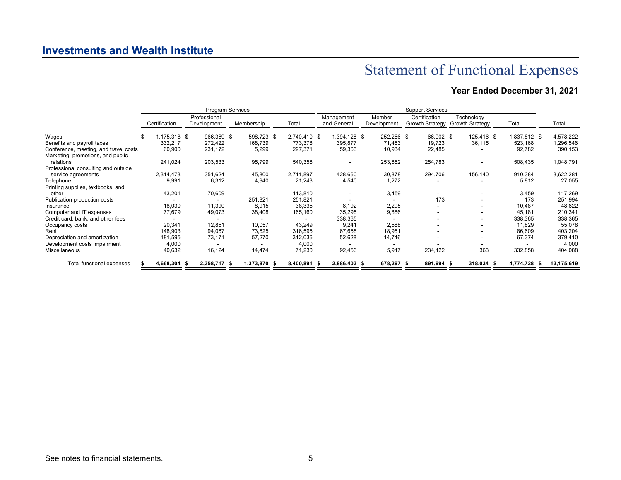# Statement of Functional Expenses

## **Year Ended December 31, 2021**

|                                                                            |                    | Program Services            |            |      |              |                           |                       |      | <b>Support Services</b>                 |      |                                      |              |     |            |
|----------------------------------------------------------------------------|--------------------|-----------------------------|------------|------|--------------|---------------------------|-----------------------|------|-----------------------------------------|------|--------------------------------------|--------------|-----|------------|
|                                                                            | Certification      | Professional<br>Development | Membership |      | Total        | Management<br>and General | Member<br>Development |      | Certification<br><b>Growth Strategy</b> |      | Technology<br><b>Growth Strategy</b> | Total        |     | Total      |
| Wages                                                                      | \$<br>1,175,318 \$ | 966,369 \$                  | 598,723 \$ |      | 2,740,410 \$ | 1,394,128 \$              | 252,266 \$            |      | 66,002 \$                               |      | 125,416 \$                           | 1,837,812 \$ |     | 4,578,222  |
| Benefits and payroll taxes                                                 | 332,217            | 272,422                     | 168,739    |      | 773,378      | 395,877                   | 71,453                |      | 19,723                                  |      | 36,115                               | 523,168      |     | 1,296,546  |
| Conference, meeting, and travel costs<br>Marketing, promotions, and public | 60,900             | 231,172                     | 5,299      |      | 297,371      | 59,363                    | 10,934                |      | 22,485                                  |      |                                      | 92,782       |     | 390,153    |
| relations                                                                  | 241,024            | 203,533                     | 95,799     |      | 540,356      |                           | 253,652               |      | 254,783                                 |      |                                      | 508,435      |     | 1,048,791  |
| Professional consulting and outside                                        |                    |                             |            |      |              |                           |                       |      |                                         |      |                                      |              |     |            |
| service agreements                                                         | 2,314,473          | 351,624                     | 45,800     |      | 2,711,897    | 428,660                   | 30,878                |      | 294,706                                 |      | 156,140                              | 910,384      |     | 3,622,281  |
| Telephone                                                                  | 9,991              | 6,312                       | 4,940      |      | 21,243       | 4,540                     | 1,272                 |      |                                         |      |                                      | 5,812        |     | 27,055     |
| Printing supplies, textbooks, and                                          |                    |                             |            |      |              |                           |                       |      |                                         |      |                                      |              |     |            |
| other                                                                      | 43,201             | 70,609                      |            |      | 113,810      |                           | 3,459                 |      |                                         |      |                                      | 3,459        |     | 117,269    |
| Publication production costs                                               |                    |                             | 251,821    |      | 251,821      |                           |                       |      | 173                                     |      |                                      | 173          |     | 251,994    |
| Insurance                                                                  | 18,030             | 11,390                      | 8,915      |      | 38,335       | 8,192                     | 2,295                 |      |                                         |      |                                      | 10,487       |     | 48,822     |
| Computer and IT expenses                                                   | 77,679             | 49,073                      | 38,408     |      | 165,160      | 35,295                    | 9,886                 |      |                                         |      | -                                    | 45,181       |     | 210,341    |
| Credit card, bank, and other fees                                          |                    |                             |            |      |              | 338,365                   |                       |      |                                         |      | -                                    | 338,365      |     | 338,365    |
| Occupancy costs                                                            | 20,341             | 12,851                      | 10,057     |      | 43,249       | 9,241                     | 2,588                 |      |                                         |      | $\overline{\phantom{a}}$             | 11,829       |     | 55,078     |
| Rent                                                                       | 148,903            | 94,067                      | 73,625     |      | 316,595      | 67,658                    | 18,951                |      |                                         |      | ٠                                    | 86,609       |     | 403,204    |
| Depreciation and amortization                                              | 181,595            | 73,171                      | 57,270     |      | 312,036      | 52,628                    | 14,746                |      |                                         |      | ٠                                    | 67,374       |     | 379,410    |
| Development costs impairment                                               | 4,000              |                             |            |      | 4,000        |                           |                       |      |                                         |      |                                      |              |     | 4,000      |
| Miscellaneous                                                              | 40,632             | 16,124                      | 14,474     |      | 71,230       | 92,456                    | 5,917                 |      | 234,122                                 |      | 363                                  | 332,858      |     | 404,088    |
| Total functional expenses                                                  | 4,668,304 \$       | 2,358,717 \$                | 1,373,870  | - 55 | 8,400,891 \$ | 2,886,403 \$              | 678,297               | - 55 | 891,994                                 | - 55 | 318,034 \$                           | 4,774,728    | - 5 | 13,175,619 |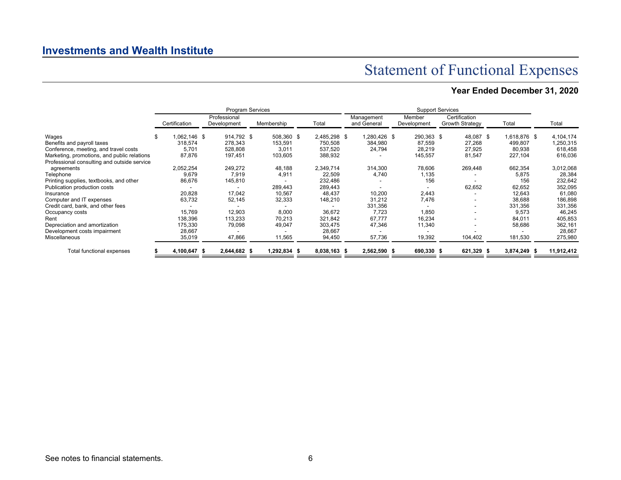# Statement of Functional Expenses

### **Year Ended December 31, 2020**

|                                             |               | <b>Program Services</b> |             |              | <b>Support Services</b> |              |             |                        |               |       |              |       |            |  |  |  |  |  |  |
|---------------------------------------------|---------------|-------------------------|-------------|--------------|-------------------------|--------------|-------------|------------------------|---------------|-------|--------------|-------|------------|--|--|--|--|--|--|
|                                             |               | Professional            |             |              |                         | Management   | Member      |                        | Certification |       |              |       |            |  |  |  |  |  |  |
|                                             | Certification | Development             | Membership  | Total        |                         | and General  | Development | <b>Growth Strategy</b> |               | Total |              | Total |            |  |  |  |  |  |  |
| Wages                                       | 1,062,146 \$  | 914,792 \$              | 508,360 \$  | 2,485,298 \$ |                         | 1,280,426 \$ | 290,363 \$  |                        | 48,087 \$     |       | 1,618,876 \$ |       | 4,104,174  |  |  |  |  |  |  |
| Benefits and payroll taxes                  | 318,574       | 278,343                 | 153,591     | 750,508      |                         | 384,980      | 87,559      |                        | 27,268        |       | 499,807      |       | 1,250,315  |  |  |  |  |  |  |
| Conference, meeting, and travel costs       | 5,701         | 528,808                 | 3,011       | 537,520      |                         | 24,794       | 28,219      |                        | 27,925        |       | 80,938       |       | 618,458    |  |  |  |  |  |  |
| Marketing, promotions, and public relations | 87,876        | 197,451                 | 103,605     | 388,932      |                         |              | 145,557     |                        | 81,547        |       | 227,104      |       | 616,036    |  |  |  |  |  |  |
| Professional consulting and outside service |               |                         |             |              |                         |              |             |                        |               |       |              |       |            |  |  |  |  |  |  |
| agreements                                  | 2,052,254     | 249,272                 | 48,188      | 2,349,714    |                         | 314,300      | 78,606      |                        | 269,448       |       | 662,354      |       | 3,012,068  |  |  |  |  |  |  |
| Telephone                                   | 9,679         | 7,919                   | 4,911       | 22,509       |                         | 4,740        | 1,135       |                        |               |       | 5,875        |       | 28,384     |  |  |  |  |  |  |
| Printing supplies, textbooks, and other     | 86,676        | 145,810                 |             | 232,486      |                         |              | 156         |                        |               |       | 156          |       | 232,642    |  |  |  |  |  |  |
| Publication production costs                |               |                         | 289,443     | 289,443      |                         |              |             |                        | 62,652        |       | 62,652       |       | 352,095    |  |  |  |  |  |  |
| Insurance                                   | 20,828        | 17,042                  | 10,567      | 48,437       |                         | 10,200       | 2,443       |                        |               |       | 12,643       |       | 61,080     |  |  |  |  |  |  |
| Computer and IT expenses                    | 63,732        | 52,145                  | 32,333      | 148,210      |                         | 31,212       | 7,476       |                        |               |       | 38,688       |       | 186,898    |  |  |  |  |  |  |
| Credit card, bank, and other fees           |               |                         |             |              |                         | 331,356      |             |                        |               |       | 331,356      |       | 331,356    |  |  |  |  |  |  |
| Occupancy costs                             | 15,769        | 12,903                  | 8,000       | 36,672       |                         | 7,723        | 1,850       |                        |               |       | 9,573        |       | 46,245     |  |  |  |  |  |  |
| Rent                                        | 138,396       | 113,233                 | 70,213      | 321,842      |                         | 67,777       | 16,234      |                        |               |       | 84,011       |       | 405,853    |  |  |  |  |  |  |
| Depreciation and amortization               | 175,330       | 79,098                  | 49,047      | 303,475      |                         | 47,346       | 11,340      |                        |               |       | 58,686       |       | 362,161    |  |  |  |  |  |  |
| Development costs impairment                | 28,667        |                         |             | 28,667       |                         |              |             |                        |               |       |              |       | 28,667     |  |  |  |  |  |  |
| Miscellaneous                               | 35,019        | 47,866                  | 11,565      | 94,450       |                         | 57,736       | 19,392      |                        | 104,402       |       | 181,530      |       | 275,980    |  |  |  |  |  |  |
| Total functional expenses                   | 4,100,647 \$  | 2,644,682 \$            | 1,292,834\$ | 8,038,163 \$ |                         | 2,562,590 \$ | 690,330 \$  |                        | 621,329       | - 55  | 3,874,249 \$ |       | 11,912,412 |  |  |  |  |  |  |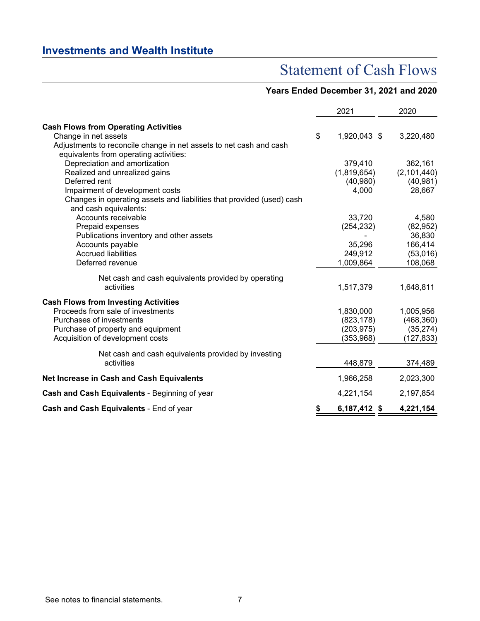## Statement of Cash Flows

### **Years Ended December 31, 2021 and 2020**

|                                                                                                                                      | 2021               | 2020          |
|--------------------------------------------------------------------------------------------------------------------------------------|--------------------|---------------|
| <b>Cash Flows from Operating Activities</b>                                                                                          |                    |               |
| Change in net assets<br>Adjustments to reconcile change in net assets to net cash and cash<br>equivalents from operating activities: | \$<br>1,920,043 \$ | 3,220,480     |
| Depreciation and amortization                                                                                                        | 379,410            | 362,161       |
| Realized and unrealized gains                                                                                                        | (1,819,654)        | (2, 101, 440) |
| Deferred rent                                                                                                                        | (40, 980)          | (40, 981)     |
| Impairment of development costs                                                                                                      | 4,000              | 28,667        |
| Changes in operating assets and liabilities that provided (used) cash<br>and cash equivalents:                                       |                    |               |
| Accounts receivable                                                                                                                  | 33,720             | 4,580         |
| Prepaid expenses                                                                                                                     | (254, 232)         | (82, 952)     |
| Publications inventory and other assets                                                                                              |                    | 36,830        |
| Accounts payable                                                                                                                     | 35,296             | 166,414       |
| <b>Accrued liabilities</b>                                                                                                           | 249,912            | (53,016)      |
| Deferred revenue                                                                                                                     | 1,009,864          | 108,068       |
| Net cash and cash equivalents provided by operating                                                                                  |                    |               |
| activities                                                                                                                           | 1,517,379          | 1,648,811     |
| <b>Cash Flows from Investing Activities</b>                                                                                          |                    |               |
| Proceeds from sale of investments                                                                                                    | 1,830,000          | 1,005,956     |
| Purchases of investments                                                                                                             | (823, 178)         | (468, 360)    |
| Purchase of property and equipment                                                                                                   | (203, 975)         | (35, 274)     |
| Acquisition of development costs                                                                                                     | (353,968)          | (127, 833)    |
| Net cash and cash equivalents provided by investing                                                                                  |                    |               |
| activities                                                                                                                           | 448,879            | 374,489       |
| Net Increase in Cash and Cash Equivalents                                                                                            | 1,966,258          | 2,023,300     |
| Cash and Cash Equivalents - Beginning of year                                                                                        | 4,221,154          | 2,197,854     |
| Cash and Cash Equivalents - End of year                                                                                              | \$<br>6,187,412 \$ | 4,221,154     |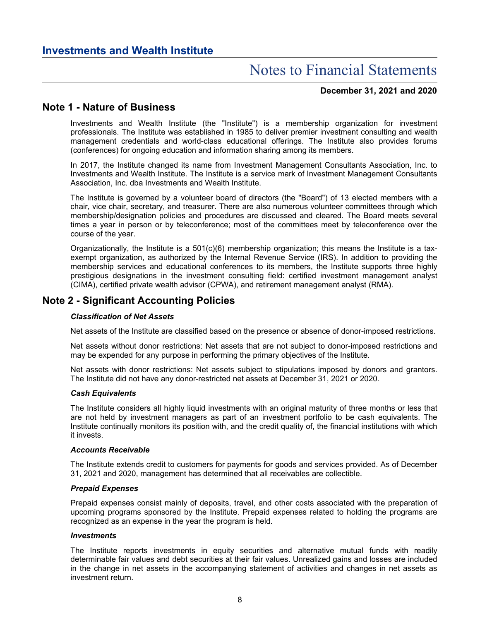#### **December 31, 2021 and 2020**

### **Note 1 - Nature of Business**

Investments and Wealth Institute (the "Institute") is a membership organization for investment professionals. The Institute was established in 1985 to deliver premier investment consulting and wealth management credentials and world-class educational offerings. The Institute also provides forums (conferences) for ongoing education and information sharing among its members.

In 2017, the Institute changed its name from Investment Management Consultants Association, Inc. to Investments and Wealth Institute. The Institute is a service mark of Investment Management Consultants Association, Inc. dba Investments and Wealth Institute.

The Institute is governed by a volunteer board of directors (the "Board") of 13 elected members with a chair, vice chair, secretary, and treasurer. There are also numerous volunteer committees through which membership/designation policies and procedures are discussed and cleared. The Board meets several times a year in person or by teleconference; most of the committees meet by teleconference over the course of the year.

Organizationally, the Institute is a 501(c)(6) membership organization; this means the Institute is a taxexempt organization, as authorized by the Internal Revenue Service (IRS). In addition to providing the membership services and educational conferences to its members, the Institute supports three highly prestigious designations in the investment consulting field: certified investment management analyst (CIMA), certified private wealth advisor (CPWA), and retirement management analyst (RMA).

### **Note 2 - Significant Accounting Policies**

#### *Classification of Net Assets*

Net assets of the Institute are classified based on the presence or absence of donor-imposed restrictions.

Net assets without donor restrictions: Net assets that are not subject to donor-imposed restrictions and may be expended for any purpose in performing the primary objectives of the Institute.

Net assets with donor restrictions: Net assets subject to stipulations imposed by donors and grantors. The Institute did not have any donor-restricted net assets at December 31, 2021 or 2020.

#### *Cash Equivalents*

The Institute considers all highly liquid investments with an original maturity of three months or less that are not held by investment managers as part of an investment portfolio to be cash equivalents. The Institute continually monitors its position with, and the credit quality of, the financial institutions with which it invests.

#### *Accounts Receivable*

The Institute extends credit to customers for payments for goods and services provided. As of December 31, 2021 and 2020, management has determined that all receivables are collectible.

#### *Prepaid Expenses*

Prepaid expenses consist mainly of deposits, travel, and other costs associated with the preparation of upcoming programs sponsored by the Institute. Prepaid expenses related to holding the programs are recognized as an expense in the year the program is held.

#### *Investments*

The Institute reports investments in equity securities and alternative mutual funds with readily determinable fair values and debt securities at their fair values. Unrealized gains and losses are included in the change in net assets in the accompanying statement of activities and changes in net assets as investment return.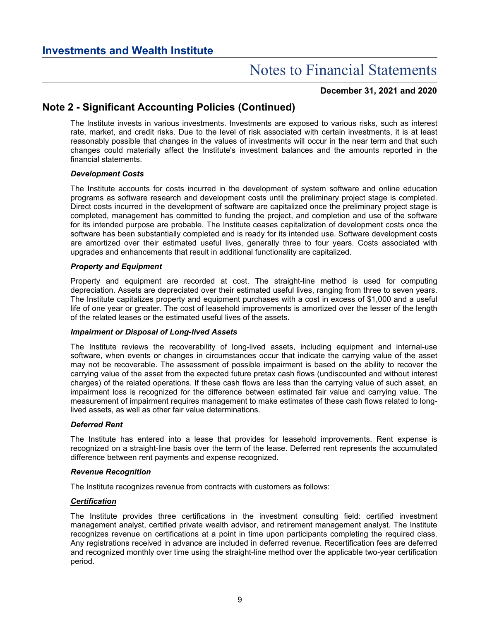#### **December 31, 2021 and 2020**

### **Note 2 - Significant Accounting Policies (Continued)**

The Institute invests in various investments. Investments are exposed to various risks, such as interest rate, market, and credit risks. Due to the level of risk associated with certain investments, it is at least reasonably possible that changes in the values of investments will occur in the near term and that such changes could materially affect the Institute's investment balances and the amounts reported in the financial statements.

#### *Development Costs*

The Institute accounts for costs incurred in the development of system software and online education programs as software research and development costs until the preliminary project stage is completed. Direct costs incurred in the development of software are capitalized once the preliminary project stage is completed, management has committed to funding the project, and completion and use of the software for its intended purpose are probable. The Institute ceases capitalization of development costs once the software has been substantially completed and is ready for its intended use. Software development costs are amortized over their estimated useful lives, generally three to four years. Costs associated with upgrades and enhancements that result in additional functionality are capitalized.

#### *Property and Equipment*

Property and equipment are recorded at cost. The straight-line method is used for computing depreciation. Assets are depreciated over their estimated useful lives, ranging from three to seven years. The Institute capitalizes property and equipment purchases with a cost in excess of \$1,000 and a useful life of one year or greater. The cost of leasehold improvements is amortized over the lesser of the length of the related leases or the estimated useful lives of the assets.

#### *Impairment or Disposal of Long-lived Assets*

The Institute reviews the recoverability of long-lived assets, including equipment and internal-use software, when events or changes in circumstances occur that indicate the carrying value of the asset may not be recoverable. The assessment of possible impairment is based on the ability to recover the carrying value of the asset from the expected future pretax cash flows (undiscounted and without interest charges) of the related operations. If these cash flows are less than the carrying value of such asset, an impairment loss is recognized for the difference between estimated fair value and carrying value. The measurement of impairment requires management to make estimates of these cash flows related to longlived assets, as well as other fair value determinations.

#### *Deferred Rent*

The Institute has entered into a lease that provides for leasehold improvements. Rent expense is recognized on a straight-line basis over the term of the lease. Deferred rent represents the accumulated difference between rent payments and expense recognized.

#### *Revenue Recognition*

The Institute recognizes revenue from contracts with customers as follows:

#### *Certification*

The Institute provides three certifications in the investment consulting field: certified investment management analyst, certified private wealth advisor, and retirement management analyst. The Institute recognizes revenue on certifications at a point in time upon participants completing the required class. Any registrations received in advance are included in deferred revenue. Recertification fees are deferred and recognized monthly over time using the straight-line method over the applicable two-year certification period.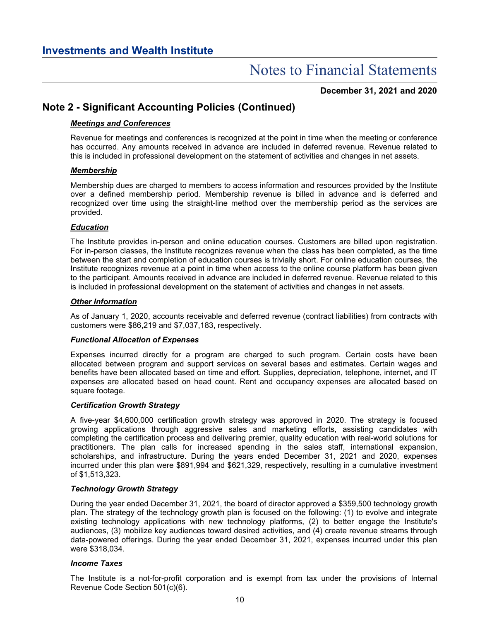**December 31, 2021 and 2020**

### **Note 2 - Significant Accounting Policies (Continued)**

#### *Meetings and Conferences*

Revenue for meetings and conferences is recognized at the point in time when the meeting or conference has occurred. Any amounts received in advance are included in deferred revenue. Revenue related to this is included in professional development on the statement of activities and changes in net assets.

#### *Membership*

Membership dues are charged to members to access information and resources provided by the Institute over a defined membership period. Membership revenue is billed in advance and is deferred and recognized over time using the straight-line method over the membership period as the services are provided.

#### *Education*

The Institute provides in-person and online education courses. Customers are billed upon registration. For in-person classes, the Institute recognizes revenue when the class has been completed, as the time between the start and completion of education courses is trivially short. For online education courses, the Institute recognizes revenue at a point in time when access to the online course platform has been given to the participant. Amounts received in advance are included in deferred revenue. Revenue related to this is included in professional development on the statement of activities and changes in net assets.

#### *Other Information*

As of January 1, 2020, accounts receivable and deferred revenue (contract liabilities) from contracts with customers were \$86,219 and \$7,037,183, respectively.

#### *Functional Allocation of Expenses*

Expenses incurred directly for a program are charged to such program. Certain costs have been allocated between program and support services on several bases and estimates. Certain wages and benefits have been allocated based on time and effort. Supplies, depreciation, telephone, internet, and IT expenses are allocated based on head count. Rent and occupancy expenses are allocated based on square footage.

#### *Certification Growth Strategy*

A five-year \$4,600,000 certification growth strategy was approved in 2020. The strategy is focused growing applications through aggressive sales and marketing efforts, assisting candidates with completing the certification process and delivering premier, quality education with real-world solutions for practitioners. The plan calls for increased spending in the sales staff, international expansion, scholarships, and infrastructure. During the years ended December 31, 2021 and 2020, expenses incurred under this plan were \$891,994 and \$621,329, respectively, resulting in a cumulative investment of \$1,513,323.

#### *Technology Growth Strategy*

During the year ended December 31, 2021, the board of director approved a \$359,500 technology growth plan. The strategy of the technology growth plan is focused on the following: (1) to evolve and integrate existing technology applications with new technology platforms, (2) to better engage the Institute's audiences, (3) mobilize key audiences toward desired activities, and (4) create revenue streams through data-powered offerings. During the year ended December 31, 2021, expenses incurred under this plan were \$318,034.

#### *Income Taxes*

The Institute is a not-for-profit corporation and is exempt from tax under the provisions of Internal Revenue Code Section 501(c)(6).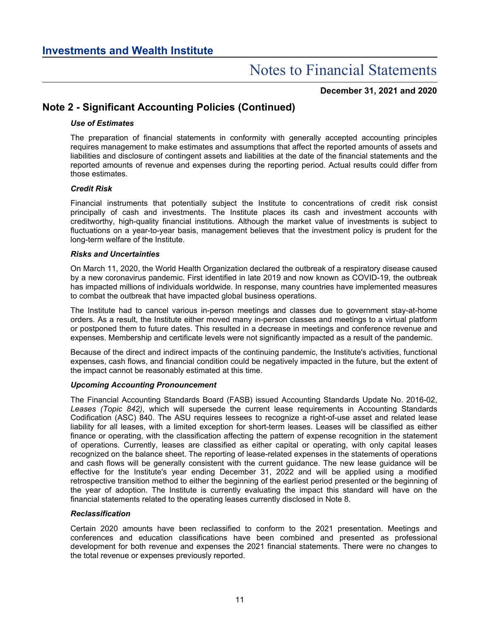**December 31, 2021 and 2020**

## **Note 2 - Significant Accounting Policies (Continued)**

#### *Use of Estimates*

The preparation of financial statements in conformity with generally accepted accounting principles requires management to make estimates and assumptions that affect the reported amounts of assets and liabilities and disclosure of contingent assets and liabilities at the date of the financial statements and the reported amounts of revenue and expenses during the reporting period. Actual results could differ from those estimates.

#### *Credit Risk*

Financial instruments that potentially subject the Institute to concentrations of credit risk consist principally of cash and investments. The Institute places its cash and investment accounts with creditworthy, high-quality financial institutions. Although the market value of investments is subject to fluctuations on a year-to-year basis, management believes that the investment policy is prudent for the long-term welfare of the Institute.

#### *Risks and Uncertainties*

On March 11, 2020, the World Health Organization declared the outbreak of a respiratory disease caused by a new coronavirus pandemic. First identified in late 2019 and now known as COVID-19, the outbreak has impacted millions of individuals worldwide. In response, many countries have implemented measures to combat the outbreak that have impacted global business operations.

The Institute had to cancel various in-person meetings and classes due to government stay-at-home orders. As a result, the Institute either moved many in-person classes and meetings to a virtual platform or postponed them to future dates. This resulted in a decrease in meetings and conference revenue and expenses. Membership and certificate levels were not significantly impacted as a result of the pandemic.

Because of the direct and indirect impacts of the continuing pandemic, the Institute's activities, functional expenses, cash flows, and financial condition could be negatively impacted in the future, but the extent of the impact cannot be reasonably estimated at this time.

#### *Upcoming Accounting Pronouncement*

The Financial Accounting Standards Board (FASB) issued Accounting Standards Update No. 2016-02, *Leases (Topic 842)*, which will supersede the current lease requirements in Accounting Standards Codification (ASC) 840. The ASU requires lessees to recognize a right-of-use asset and related lease liability for all leases, with a limited exception for short-term leases. Leases will be classified as either finance or operating, with the classification affecting the pattern of expense recognition in the statement of operations. Currently, leases are classified as either capital or operating, with only capital leases recognized on the balance sheet. The reporting of lease-related expenses in the statements of operations and cash flows will be generally consistent with the current guidance. The new lease guidance will be effective for the Institute's year ending December 31, 2022 and will be applied using a modified retrospective transition method to either the beginning of the earliest period presented or the beginning of the year of adoption. The Institute is currently evaluating the impact this standard will have on the financial statements related to the operating leases currently disclosed in Note 8.

#### *Reclassification*

Certain 2020 amounts have been reclassified to conform to the 2021 presentation. Meetings and conferences and education classifications have been combined and presented as professional development for both revenue and expenses the 2021 financial statements. There were no changes to the total revenue or expenses previously reported.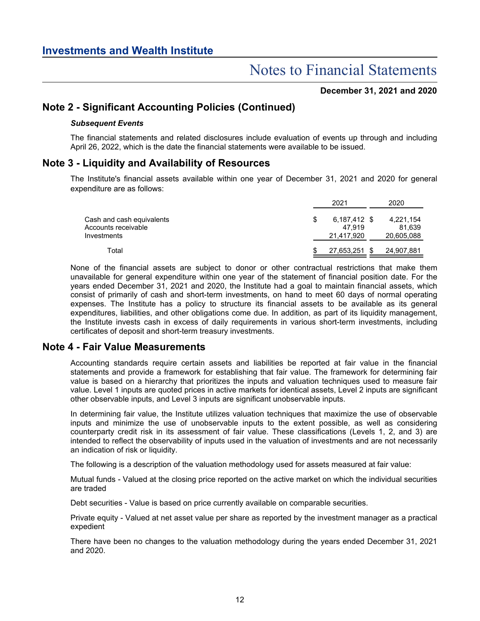**December 31, 2021 and 2020**

### **Note 2 - Significant Accounting Policies (Continued)**

#### *Subsequent Events*

The financial statements and related disclosures include evaluation of events up through and including April 26, 2022, which is the date the financial statements were available to be issued.

### **Note 3 - Liquidity and Availability of Resources**

The Institute's financial assets available within one year of December 31, 2021 and 2020 for general expenditure are as follows:

|                                                                 | 2021                                 | 2020                              |
|-----------------------------------------------------------------|--------------------------------------|-----------------------------------|
| Cash and cash equivalents<br>Accounts receivable<br>Investments | 6,187,412 \$<br>47.919<br>21.417.920 | 4,221,154<br>81,639<br>20,605,088 |
| Total                                                           | 27,653,251 \$                        | 24,907,881                        |

None of the financial assets are subject to donor or other contractual restrictions that make them unavailable for general expenditure within one year of the statement of financial position date. For the years ended December 31, 2021 and 2020, the Institute had a goal to maintain financial assets, which consist of primarily of cash and short-term investments, on hand to meet 60 days of normal operating expenses. The Institute has a policy to structure its financial assets to be available as its general expenditures, liabilities, and other obligations come due. In addition, as part of its liquidity management, the Institute invests cash in excess of daily requirements in various short-term investments, including certificates of deposit and short-term treasury investments.

#### **Note 4 - Fair Value Measurements**

Accounting standards require certain assets and liabilities be reported at fair value in the financial statements and provide a framework for establishing that fair value. The framework for determining fair value is based on a hierarchy that prioritizes the inputs and valuation techniques used to measure fair value. Level 1 inputs are quoted prices in active markets for identical assets, Level 2 inputs are significant other observable inputs, and Level 3 inputs are significant unobservable inputs.

In determining fair value, the Institute utilizes valuation techniques that maximize the use of observable inputs and minimize the use of unobservable inputs to the extent possible, as well as considering counterparty credit risk in its assessment of fair value. These classifications (Levels 1, 2, and 3) are intended to reflect the observability of inputs used in the valuation of investments and are not necessarily an indication of risk or liquidity.

The following is a description of the valuation methodology used for assets measured at fair value:

Mutual funds - Valued at the closing price reported on the active market on which the individual securities are traded

Debt securities - Value is based on price currently available on comparable securities.

Private equity - Valued at net asset value per share as reported by the investment manager as a practical expedient

There have been no changes to the valuation methodology during the years ended December 31, 2021 and 2020.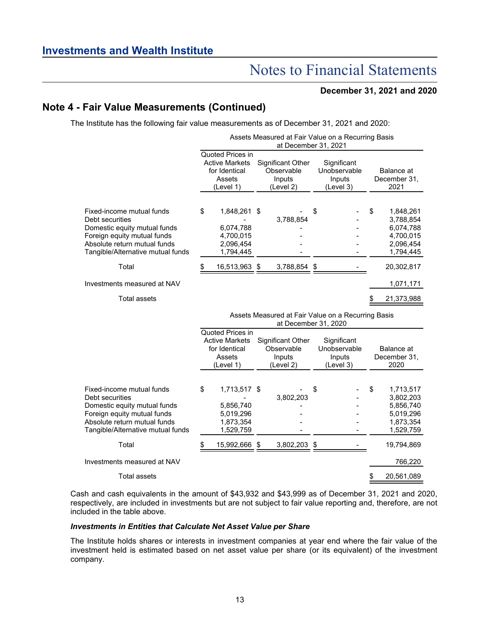**December 31, 2021 and 2020**

## **Note 4 - Fair Value Measurements (Continued)**

The Institute has the following fair value measurements as of December 31, 2021 and 2020:

|                                                                                                                                                                                  | Assets Measured at Fair Value on a Recurring Basis<br>at December 31, 2021 |                                                                                                                                                    |  |                                                        |                                                    |                                                    |    |                                                                            |  |  |
|----------------------------------------------------------------------------------------------------------------------------------------------------------------------------------|----------------------------------------------------------------------------|----------------------------------------------------------------------------------------------------------------------------------------------------|--|--------------------------------------------------------|----------------------------------------------------|----------------------------------------------------|----|----------------------------------------------------------------------------|--|--|
|                                                                                                                                                                                  |                                                                            | Quoted Prices in<br><b>Active Markets</b><br><b>Significant Other</b><br>Observable<br>for Identical<br>Assets<br>Inputs<br>(Level 2)<br>(Level 1) |  |                                                        | Significant<br>Unobservable<br>Inputs<br>(Level 3) | Balance at<br>December 31,<br>2021                 |    |                                                                            |  |  |
| Fixed-income mutual funds<br>Debt securities<br>Domestic equity mutual funds<br>Foreign equity mutual funds<br>Absolute return mutual funds<br>Tangible/Alternative mutual funds | \$                                                                         | 1,848,261 \$<br>6,074,788<br>4,700,015<br>2,096,454<br>1,794,445                                                                                   |  | 3,788,854                                              | \$                                                 |                                                    | \$ | 1,848,261<br>3,788,854<br>6,074,788<br>4,700,015<br>2,096,454<br>1,794,445 |  |  |
| Total                                                                                                                                                                            | \$                                                                         | 16,513,963 \$                                                                                                                                      |  | 3,788,854                                              | - \$                                               |                                                    |    | 20,302,817                                                                 |  |  |
| Investments measured at NAV                                                                                                                                                      |                                                                            |                                                                                                                                                    |  |                                                        |                                                    |                                                    |    | 1,071,171                                                                  |  |  |
| Total assets                                                                                                                                                                     |                                                                            |                                                                                                                                                    |  |                                                        |                                                    |                                                    |    | 21,373,988                                                                 |  |  |
|                                                                                                                                                                                  |                                                                            |                                                                                                                                                    |  |                                                        |                                                    |                                                    |    |                                                                            |  |  |
|                                                                                                                                                                                  |                                                                            |                                                                                                                                                    |  | at December 31, 2020                                   |                                                    | Assets Measured at Fair Value on a Recurring Basis |    |                                                                            |  |  |
|                                                                                                                                                                                  |                                                                            | Quoted Prices in<br><b>Active Markets</b><br>for Identical<br>Assets<br>(Level 1)                                                                  |  | Significant Other<br>Observable<br>Inputs<br>(Level 2) |                                                    | Significant<br>Unobservable<br>Inputs<br>(Level 3) |    | Balance at<br>December 31,<br>2020                                         |  |  |
| Fixed-income mutual funds<br>Debt securities<br>Domestic equity mutual funds<br>Foreign equity mutual funds<br>Absolute return mutual funds<br>Tangible/Alternative mutual funds | \$                                                                         | 1,713,517 \$<br>5,856,740<br>5,019,296<br>1,873,354<br>1,529,759                                                                                   |  | 3,802,203                                              | \$                                                 |                                                    | \$ | 1,713,517<br>3,802,203<br>5,856,740<br>5,019,296<br>1,873,354<br>1,529,759 |  |  |
| Total                                                                                                                                                                            | \$                                                                         | 15,992,666 \$                                                                                                                                      |  | 3,802,203 \$                                           |                                                    |                                                    |    | 19,794,869                                                                 |  |  |
| Investments measured at NAV                                                                                                                                                      |                                                                            |                                                                                                                                                    |  |                                                        |                                                    |                                                    |    | 766,220                                                                    |  |  |

Cash and cash equivalents in the amount of \$43,932 and \$43,999 as of December 31, 2021 and 2020, respectively, are included in investments but are not subject to fair value reporting and, therefore, are not included in the table above.

#### *Investments in Entities that Calculate Net Asset Value per Share*

The Institute holds shares or interests in investment companies at year end where the fair value of the investment held is estimated based on net asset value per share (or its equivalent) of the investment company.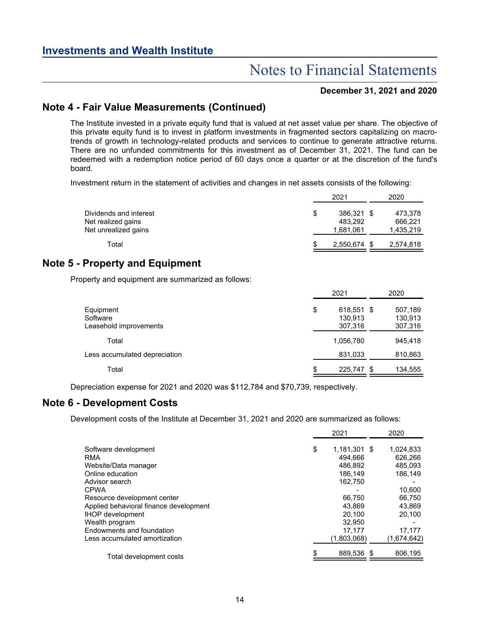#### **December 31, 2021 and 2020**

2021 2020

### **Note 4 - Fair Value Measurements (Continued)**

The Institute invested in a private equity fund that is valued at net asset value per share. The objective of this private equity fund is to invest in platform investments in fragmented sectors capitalizing on macrotrends of growth in technology-related products and services to continue to generate attractive returns. There are no unfunded commitments for this investment as of December 31, 2021. The fund can be redeemed with a redemption notice period of 60 days once a quarter or at the discretion of the fund's board.

Investment return in the statement of activities and changes in net assets consists of the following:

|                                                                      |     | 2021                               | 2020                            |
|----------------------------------------------------------------------|-----|------------------------------------|---------------------------------|
| Dividends and interest<br>Net realized gains<br>Net unrealized gains | \$. | 386.321 \$<br>483.292<br>1,681,061 | 473,378<br>666.221<br>1,435,219 |
| Total                                                                |     | 2,550,674                          | 2,574,818                       |

### **Note 5 - Property and Equipment**

Property and equipment are summarized as follows:

|                                                 | 2021                                   |      | 2020                          |
|-------------------------------------------------|----------------------------------------|------|-------------------------------|
| Equipment<br>Software<br>Leasehold improvements | \$<br>618,551 \$<br>130,913<br>307,316 |      | 507,189<br>130,913<br>307,316 |
| Total                                           | 1,056,780                              |      | 945.418                       |
| Less accumulated depreciation                   | 831,033                                |      | 810,863                       |
| Total                                           | \$<br>225,747                          | - \$ | 134,555                       |

Depreciation expense for 2021 and 2020 was \$112,784 and \$70,739, respectively.

### **Note 6 - Development Costs**

Development costs of the Institute at December 31, 2021 and 2020 are summarized as follows:

| Software development                   | \$<br>1,181,301 \$ | 1,024,833   |
|----------------------------------------|--------------------|-------------|
| <b>RMA</b>                             | 494.666            | 626.266     |
| Website/Data manager                   | 486.892            | 485,093     |
| Online education                       | 186.149            | 186,149     |
| Advisor search                         | 162,750            |             |
| <b>CPWA</b>                            |                    | 10,600      |
| Resource development center            | 66,750             | 66,750      |
| Applied behavioral finance development | 43.869             | 43.869      |
| <b>IHOP</b> development                | 20.100             | 20,100      |
| Wealth program                         | 32.950             |             |
| Endowments and foundation              | 17,177             | 17.177      |
| Less accumulated amortization          | (1,803,068)        | (1,674,642) |
| Total development costs                | 889.536            | 806.195     |
|                                        |                    |             |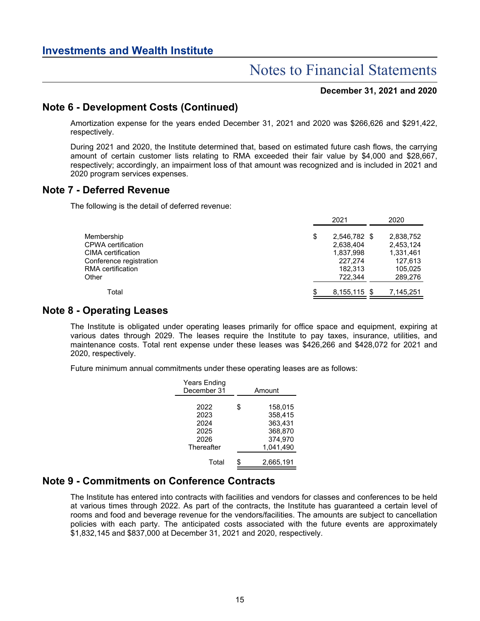#### **December 31, 2021 and 2020**

## **Note 6 - Development Costs (Continued)**

Amortization expense for the years ended December 31, 2021 and 2020 was \$266,626 and \$291,422, respectively.

During 2021 and 2020, the Institute determined that, based on estimated future cash flows, the carrying amount of certain customer lists relating to RMA exceeded their fair value by \$4,000 and \$28,667, respectively; accordingly, an impairment loss of that amount was recognized and is included in 2021 and 2020 program services expenses.

### **Note 7 - Deferred Revenue**

The following is the detail of deferred revenue:

|                         | 2021               | 2020      |
|-------------------------|--------------------|-----------|
| Membership              | \$<br>2.546.782 \$ | 2,838,752 |
| CPWA certification      | 2,638,404          | 2,453,124 |
| CIMA certification      | 1,837,998          | 1,331,461 |
| Conference registration | 227.274            | 127.613   |
| RMA certification       | 182.313            | 105,025   |
| Other                   | 722.344            | 289,276   |
| Total                   | \$<br>8,155,115 \$ | 7,145,251 |

### **Note 8 - Operating Leases**

The Institute is obligated under operating leases primarily for office space and equipment, expiring at various dates through 2029. The leases require the Institute to pay taxes, insurance, utilities, and maintenance costs. Total rent expense under these leases was \$426,266 and \$428,072 for 2021 and 2020, respectively.

Future minimum annual commitments under these operating leases are as follows:

| <b>Years Ending</b><br>December 31                 | Amount |                                                                  |  |  |  |  |
|----------------------------------------------------|--------|------------------------------------------------------------------|--|--|--|--|
| 2022<br>2023<br>2024<br>2025<br>2026<br>Thereafter | \$     | 158,015<br>358.415<br>363.431<br>368,870<br>374,970<br>1,041,490 |  |  |  |  |
| Total                                              |        | 2,665,191                                                        |  |  |  |  |

### **Note 9 - Commitments on Conference Contracts**

The Institute has entered into contracts with facilities and vendors for classes and conferences to be held at various times through 2022. As part of the contracts, the Institute has guaranteed a certain level of rooms and food and beverage revenue for the vendors/facilities. The amounts are subject to cancellation policies with each party. The anticipated costs associated with the future events are approximately \$1,832,145 and \$837,000 at December 31, 2021 and 2020, respectively.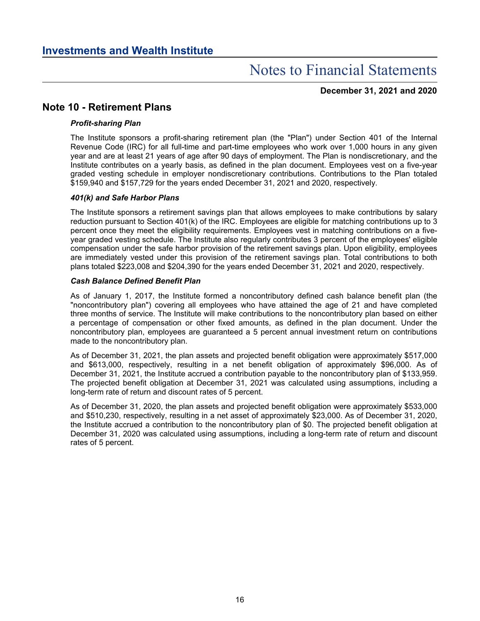#### **December 31, 2021 and 2020**

### **Note 10 - Retirement Plans**

#### *Profit-sharing Plan*

The Institute sponsors a profit-sharing retirement plan (the "Plan") under Section 401 of the Internal Revenue Code (IRC) for all full-time and part-time employees who work over 1,000 hours in any given year and are at least 21 years of age after 90 days of employment. The Plan is nondiscretionary, and the Institute contributes on a yearly basis, as defined in the plan document. Employees vest on a five-year graded vesting schedule in employer nondiscretionary contributions. Contributions to the Plan totaled \$159,940 and \$157,729 for the years ended December 31, 2021 and 2020, respectively.

#### *401(k) and Safe Harbor Plans*

The Institute sponsors a retirement savings plan that allows employees to make contributions by salary reduction pursuant to Section 401(k) of the IRC. Employees are eligible for matching contributions up to 3 percent once they meet the eligibility requirements. Employees vest in matching contributions on a fiveyear graded vesting schedule. The Institute also regularly contributes 3 percent of the employees' eligible compensation under the safe harbor provision of the retirement savings plan. Upon eligibility, employees are immediately vested under this provision of the retirement savings plan. Total contributions to both plans totaled \$223,008 and \$204,390 for the years ended December 31, 2021 and 2020, respectively.

#### *Cash Balance Defined Benefit Plan*

As of January 1, 2017, the Institute formed a noncontributory defined cash balance benefit plan (the "noncontributory plan") covering all employees who have attained the age of 21 and have completed three months of service. The Institute will make contributions to the noncontributory plan based on either a percentage of compensation or other fixed amounts, as defined in the plan document. Under the noncontributory plan, employees are guaranteed a 5 percent annual investment return on contributions made to the noncontributory plan.

As of December 31, 2021, the plan assets and projected benefit obligation were approximately \$517,000 and \$613,000, respectively, resulting in a net benefit obligation of approximately \$96,000. As of December 31, 2021, the Institute accrued a contribution payable to the noncontributory plan of \$133,959. The projected benefit obligation at December 31, 2021 was calculated using assumptions, including a long-term rate of return and discount rates of 5 percent.

As of December 31, 2020, the plan assets and projected benefit obligation were approximately \$533,000 and \$510,230, respectively, resulting in a net asset of approximately \$23,000. As of December 31, 2020, the Institute accrued a contribution to the noncontributory plan of \$0. The projected benefit obligation at December 31, 2020 was calculated using assumptions, including a long-term rate of return and discount rates of 5 percent.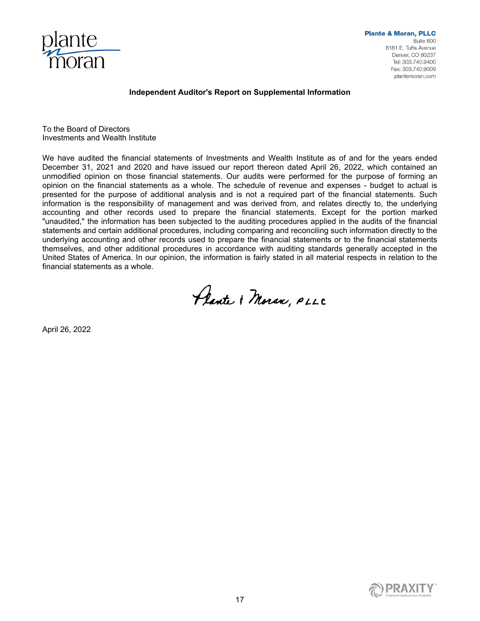

**Plante & Moran, PLLC** Suite 600 8181 E. Tufts Avenue Denver, CO 80237 Tel: 303.740.9400 Fax: 303.740.9009 plantemoran.com

#### **Independent Auditor's Report on Supplemental Information**

To the Board of Directors Investments and Wealth Institute

We have audited the financial statements of Investments and Wealth Institute as of and for the years ended December 31, 2021 and 2020 and have issued our report thereon dated April 26, 2022, which contained an unmodified opinion on those financial statements. Our audits were performed for the purpose of forming an opinion on the financial statements as a whole. The schedule of revenue and expenses - budget to actual is presented for the purpose of additional analysis and is not a required part of the financial statements. Such information is the responsibility of management and was derived from, and relates directly to, the underlying accounting and other records used to prepare the financial statements. Except for the portion marked "unaudited," the information has been subjected to the auditing procedures applied in the audits of the financial statements and certain additional procedures, including comparing and reconciling such information directly to the underlying accounting and other records used to prepare the financial statements or to the financial statements themselves, and other additional procedures in accordance with auditing standards generally accepted in the United States of America. In our opinion, the information is fairly stated in all material respects in relation to the financial statements as a whole.

Plante & Moren, PLLC

April 26, 2022

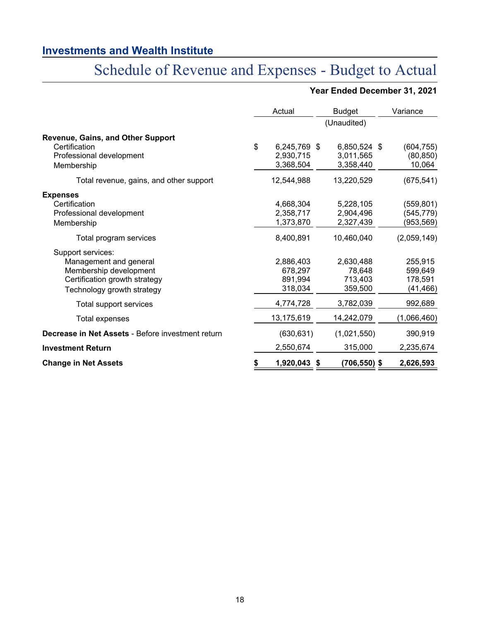# Schedule of Revenue and Expenses - Budget to Actual

## **Year Ended December 31, 2021**

|                                                                                                                                      | Actual |                                            |    | <b>Budget</b>                             | Variance                                   |  |
|--------------------------------------------------------------------------------------------------------------------------------------|--------|--------------------------------------------|----|-------------------------------------------|--------------------------------------------|--|
|                                                                                                                                      |        |                                            |    |                                           |                                            |  |
| <b>Revenue, Gains, and Other Support</b><br>Certification<br>Professional development                                                | \$     | 6,245,769 \$<br>2,930,715                  |    | 6,850,524 \$<br>3,011,565                 | (604, 755)<br>(80, 850)<br>10,064          |  |
| Membership                                                                                                                           |        | 3,368,504                                  |    | 3,358,440                                 |                                            |  |
| Total revenue, gains, and other support                                                                                              |        | 12,544,988                                 |    | 13,220,529                                | (675, 541)                                 |  |
| <b>Expenses</b><br>Certification<br>Professional development<br>Membership                                                           |        | 4,668,304<br>2,358,717<br>1,373,870        |    | 5,228,105<br>2,904,496<br>2,327,439       | (559, 801)<br>(545, 779)<br>(953, 569)     |  |
| Total program services                                                                                                               |        | 8,400,891                                  |    | 10,460,040                                | (2,059,149)                                |  |
| Support services:<br>Management and general<br>Membership development<br>Certification growth strategy<br>Technology growth strategy |        | 2,886,403<br>678,297<br>891,994<br>318,034 |    | 2,630,488<br>78,648<br>713,403<br>359,500 | 255,915<br>599,649<br>178,591<br>(41, 466) |  |
| Total support services                                                                                                               |        | 4,774,728                                  |    | 3,782,039                                 | 992,689                                    |  |
| Total expenses                                                                                                                       |        | 13,175,619                                 |    | 14,242,079                                | (1,066,460)                                |  |
| Decrease in Net Assets - Before investment return                                                                                    |        | (630, 631)                                 |    | (1,021,550)                               | 390,919                                    |  |
| <b>Investment Return</b>                                                                                                             |        | 2,550,674                                  |    | 315,000                                   | 2,235,674                                  |  |
| <b>Change in Net Assets</b>                                                                                                          |        | 1,920,043                                  | -S | (706,550) \$                              | 2,626,593                                  |  |